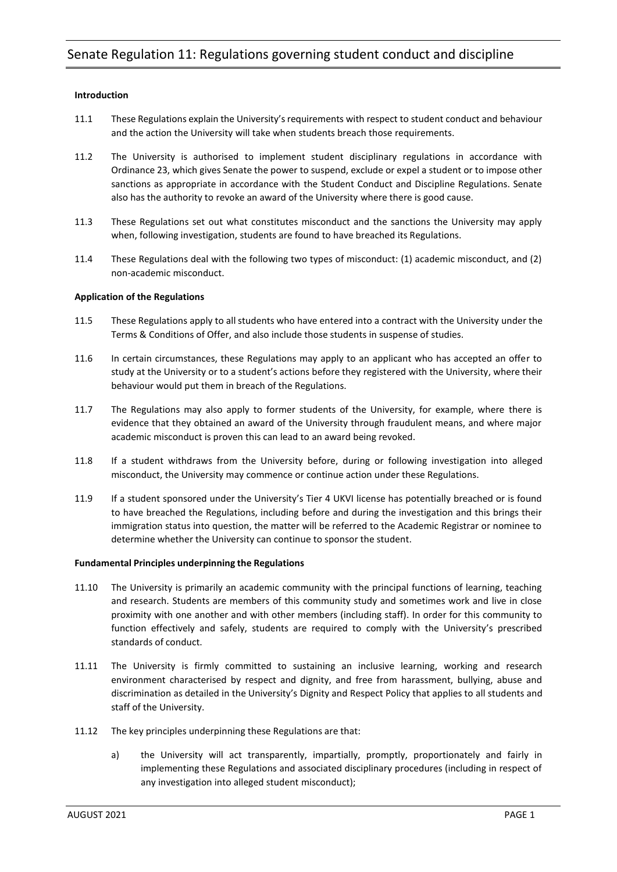# **Introduction**

- 11.1 These Regulations explain the University'srequirements with respect to student conduct and behaviour and the action the University will take when students breach those requirements.
- 11.2 The University is authorised to implement student disciplinary regulations in accordance with Ordinance 23, which gives Senate the power to suspend, exclude or expel a student or to impose other sanctions as appropriate in accordance with the Student Conduct and Discipline Regulations. Senate also has the authority to revoke an award of the University where there is good cause.
- 11.3 These Regulations set out what constitutes misconduct and the sanctions the University may apply when, following investigation, students are found to have breached its Regulations.
- 11.4 These Regulations deal with the following two types of misconduct: (1) academic misconduct, and (2) non-academic misconduct.

# **Application of the Regulations**

- 11.5 These Regulations apply to all students who have entered into a contract with the University under the Terms & Conditions of Offer, and also include those students in suspense of studies.
- 11.6 In certain circumstances, these Regulations may apply to an applicant who has accepted an offer to study at the University or to a student's actions before they registered with the University, where their behaviour would put them in breach of the Regulations.
- 11.7 The Regulations may also apply to former students of the University, for example, where there is evidence that they obtained an award of the University through fraudulent means, and where major academic misconduct is proven this can lead to an award being revoked.
- 11.8 If a student withdraws from the University before, during or following investigation into alleged misconduct, the University may commence or continue action under these Regulations.
- 11.9 If a student sponsored under the University's Tier 4 UKVI license has potentially breached or is found to have breached the Regulations, including before and during the investigation and this brings their immigration status into question, the matter will be referred to the Academic Registrar or nominee to determine whether the University can continue to sponsor the student.

# **Fundamental Principles underpinning the Regulations**

- 11.10 The University is primarily an academic community with the principal functions of learning, teaching and research. Students are members of this community study and sometimes work and live in close proximity with one another and with other members (including staff). In order for this community to function effectively and safely, students are required to comply with the University's prescribed standards of conduct.
- 11.11 The University is firmly committed to sustaining an inclusive learning, working and research environment characterised by respect and dignity, and free from harassment, bullying, abuse and discrimination as detailed in the University's Dignity and Respect Policy that applies to all students and staff of the University.
- 11.12 The key principles underpinning these Regulations are that:
	- a) the University will act transparently, impartially, promptly, proportionately and fairly in implementing these Regulations and associated disciplinary procedures (including in respect of any investigation into alleged student misconduct);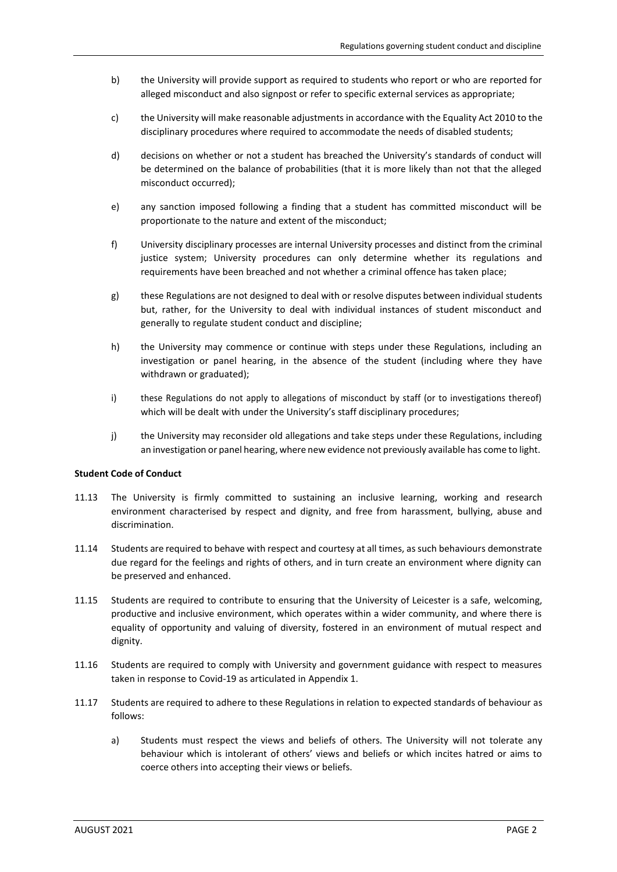- b) the University will provide support as required to students who report or who are reported for alleged misconduct and also signpost or refer to specific external services as appropriate;
- c) the University will make reasonable adjustments in accordance with the Equality Act 2010 to the disciplinary procedures where required to accommodate the needs of disabled students;
- d) decisions on whether or not a student has breached the University's standards of conduct will be determined on the balance of probabilities (that it is more likely than not that the alleged misconduct occurred);
- e) any sanction imposed following a finding that a student has committed misconduct will be proportionate to the nature and extent of the misconduct;
- f) University disciplinary processes are internal University processes and distinct from the criminal justice system; University procedures can only determine whether its regulations and requirements have been breached and not whether a criminal offence has taken place;
- g) these Regulations are not designed to deal with or resolve disputes between individual students but, rather, for the University to deal with individual instances of student misconduct and generally to regulate student conduct and discipline;
- h) the University may commence or continue with steps under these Regulations, including an investigation or panel hearing, in the absence of the student (including where they have withdrawn or graduated);
- i) these Regulations do not apply to allegations of misconduct by staff (or to investigations thereof) which will be dealt with under the University's staff disciplinary procedures;
- j) the University may reconsider old allegations and take steps under these Regulations, including an investigation or panel hearing, where new evidence not previously available has come to light.

# **Student Code of Conduct**

- 11.13 The University is firmly committed to sustaining an inclusive learning, working and research environment characterised by respect and dignity, and free from harassment, bullying, abuse and discrimination.
- 11.14 Students are required to behave with respect and courtesy at all times, assuch behaviours demonstrate due regard for the feelings and rights of others, and in turn create an environment where dignity can be preserved and enhanced.
- 11.15 Students are required to contribute to ensuring that the University of Leicester is a safe, welcoming, productive and inclusive environment, which operates within a wider community, and where there is equality of opportunity and valuing of diversity, fostered in an environment of mutual respect and dignity.
- 11.16 Students are required to comply with University and government guidance with respect to measures taken in response to Covid-19 as articulated in Appendix 1.
- 11.17 Students are required to adhere to these Regulations in relation to expected standards of behaviour as follows:
	- a) Students must respect the views and beliefs of others. The University will not tolerate any behaviour which is intolerant of others' views and beliefs or which incites hatred or aims to coerce others into accepting their views or beliefs.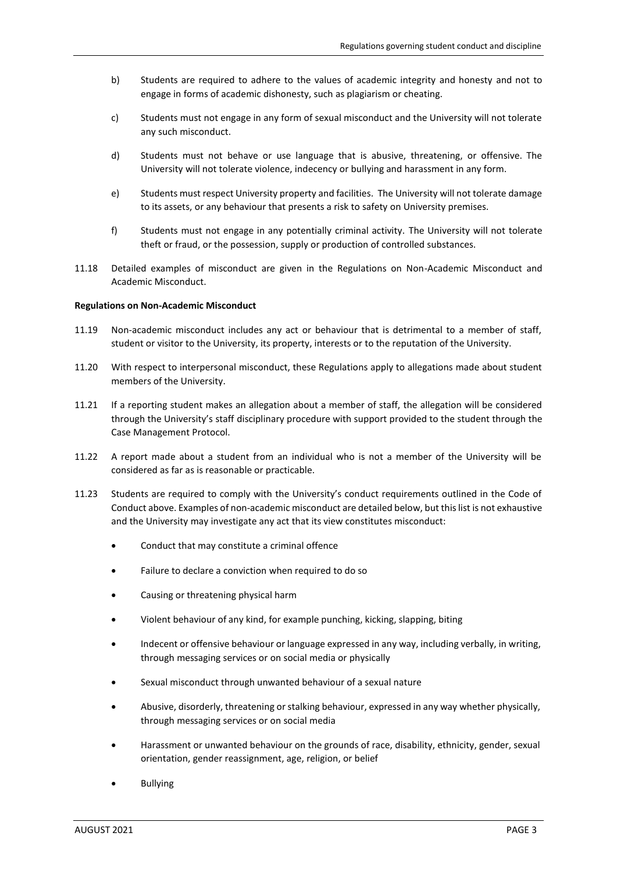- b) Students are required to adhere to the values of academic integrity and honesty and not to engage in forms of academic dishonesty, such as plagiarism or cheating.
- c) Students must not engage in any form of sexual misconduct and the University will not tolerate any such misconduct.
- d) Students must not behave or use language that is abusive, threatening, or offensive. The University will not tolerate violence, indecency or bullying and harassment in any form.
- e) Students must respect University property and facilities. The University will not tolerate damage to its assets, or any behaviour that presents a risk to safety on University premises.
- f) Students must not engage in any potentially criminal activity. The University will not tolerate theft or fraud, or the possession, supply or production of controlled substances.
- 11.18 Detailed examples of misconduct are given in the Regulations on Non-Academic Misconduct and Academic Misconduct.

### **Regulations on Non-Academic Misconduct**

- 11.19 Non-academic misconduct includes any act or behaviour that is detrimental to a member of staff, student or visitor to the University, its property, interests or to the reputation of the University.
- 11.20 With respect to interpersonal misconduct, these Regulations apply to allegations made about student members of the University.
- 11.21 If a reporting student makes an allegation about a member of staff, the allegation will be considered through the University's staff disciplinary procedure with support provided to the student through the Case Management Protocol.
- 11.22 A report made about a student from an individual who is not a member of the University will be considered as far as is reasonable or practicable.
- 11.23 Students are required to comply with the University's conduct requirements outlined in the Code of Conduct above. Examples of non-academic misconduct are detailed below, but thislist is not exhaustive and the University may investigate any act that its view constitutes misconduct:
	- Conduct that may constitute a criminal offence
	- Failure to declare a conviction when required to do so
	- Causing or threatening physical harm
	- Violent behaviour of any kind, for example punching, kicking, slapping, biting
	- Indecent or offensive behaviour or language expressed in any way, including verbally, in writing, through messaging services or on social media or physically
	- Sexual misconduct through unwanted behaviour of a sexual nature
	- Abusive, disorderly, threatening or stalking behaviour, expressed in any way whether physically, through messaging services or on social media
	- Harassment or unwanted behaviour on the grounds of race, disability, ethnicity, gender, sexual orientation, gender reassignment, age, religion, or belief
	- Bullying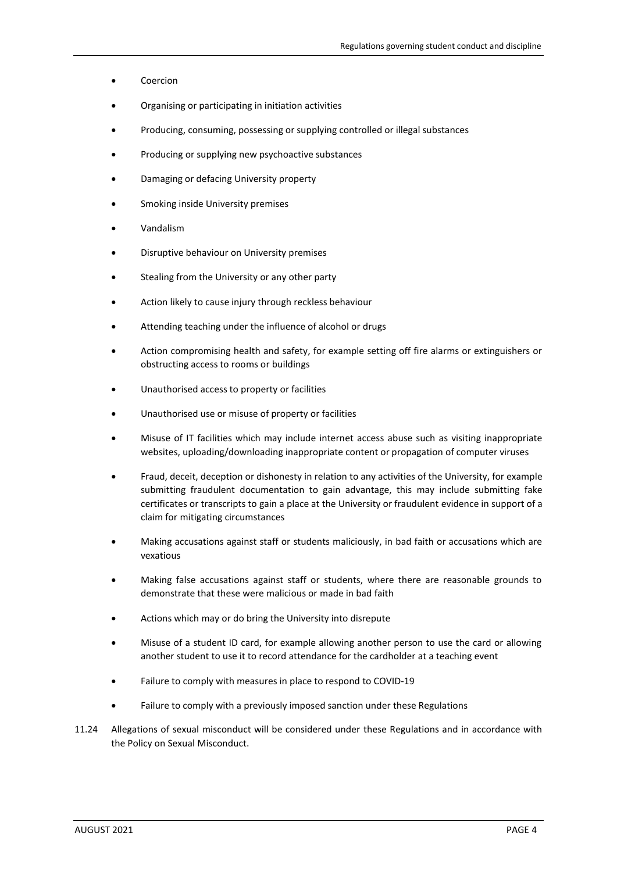- Coercion
- Organising or participating in initiation activities
- Producing, consuming, possessing or supplying controlled or illegal substances
- Producing or supplying new psychoactive substances
- Damaging or defacing University property
- Smoking inside University premises
- Vandalism
- Disruptive behaviour on University premises
- Stealing from the University or any other party
- Action likely to cause injury through reckless behaviour
- Attending teaching under the influence of alcohol or drugs
- Action compromising health and safety, for example setting off fire alarms or extinguishers or obstructing access to rooms or buildings
- Unauthorised access to property or facilities
- Unauthorised use or misuse of property or facilities
- Misuse of IT facilities which may include internet access abuse such as visiting inappropriate websites, uploading/downloading inappropriate content or propagation of computer viruses
- Fraud, deceit, deception or dishonesty in relation to any activities of the University, for example submitting fraudulent documentation to gain advantage, this may include submitting fake certificates or transcripts to gain a place at the University or fraudulent evidence in support of a claim for mitigating circumstances
- Making accusations against staff or students maliciously, in bad faith or accusations which are vexatious
- Making false accusations against staff or students, where there are reasonable grounds to demonstrate that these were malicious or made in bad faith
- Actions which may or do bring the University into disrepute
- Misuse of a student ID card, for example allowing another person to use the card or allowing another student to use it to record attendance for the cardholder at a teaching event
- Failure to comply with measures in place to respond to COVID-19
- Failure to comply with a previously imposed sanction under these Regulations
- 11.24 Allegations of sexual misconduct will be considered under these Regulations and in accordance with the Policy on Sexual Misconduct.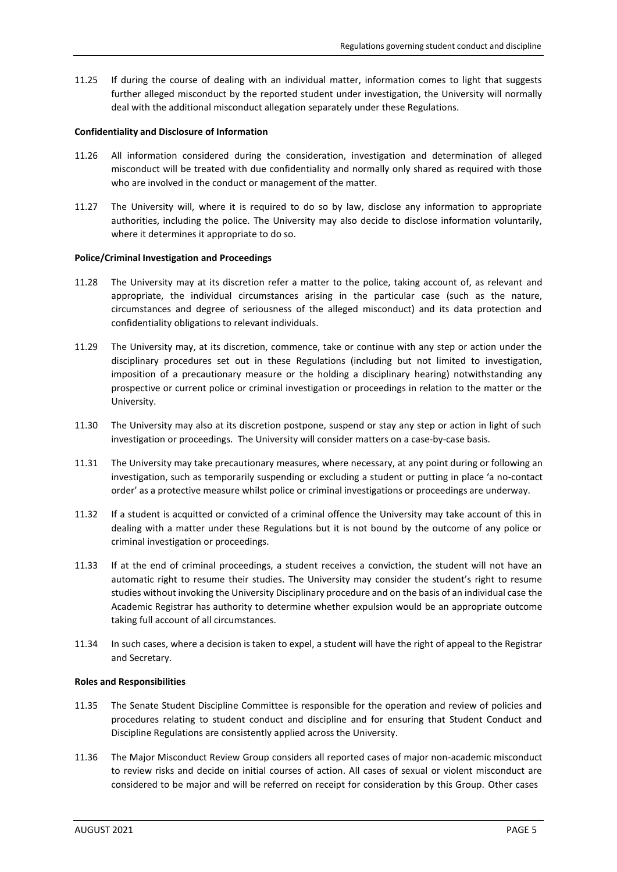11.25 If during the course of dealing with an individual matter, information comes to light that suggests further alleged misconduct by the reported student under investigation, the University will normally deal with the additional misconduct allegation separately under these Regulations.

# **Confidentiality and Disclosure of Information**

- 11.26 All information considered during the consideration, investigation and determination of alleged misconduct will be treated with due confidentiality and normally only shared as required with those who are involved in the conduct or management of the matter.
- 11.27 The University will, where it is required to do so by law, disclose any information to appropriate authorities, including the police. The University may also decide to disclose information voluntarily, where it determines it appropriate to do so.

### **Police/Criminal Investigation and Proceedings**

- 11.28 The University may at its discretion refer a matter to the police, taking account of, as relevant and appropriate, the individual circumstances arising in the particular case (such as the nature, circumstances and degree of seriousness of the alleged misconduct) and its data protection and confidentiality obligations to relevant individuals.
- 11.29 The University may, at its discretion, commence, take or continue with any step or action under the disciplinary procedures set out in these Regulations (including but not limited to investigation, imposition of a precautionary measure or the holding a disciplinary hearing) notwithstanding any prospective or current police or criminal investigation or proceedings in relation to the matter or the University.
- 11.30 The University may also at its discretion postpone, suspend or stay any step or action in light of such investigation or proceedings. The University will consider matters on a case-by-case basis.
- 11.31 The University may take precautionary measures, where necessary, at any point during or following an investigation, such as temporarily suspending or excluding a student or putting in place 'a no-contact order' as a protective measure whilst police or criminal investigations or proceedings are underway.
- 11.32 If a student is acquitted or convicted of a criminal offence the University may take account of this in dealing with a matter under these Regulations but it is not bound by the outcome of any police or criminal investigation or proceedings.
- 11.33 If at the end of criminal proceedings, a student receives a conviction, the student will not have an automatic right to resume their studies. The University may consider the student's right to resume studies without invoking the University Disciplinary procedure and on the basis of an individual case the Academic Registrar has authority to determine whether expulsion would be an appropriate outcome taking full account of all circumstances.
- 11.34 In such cases, where a decision is taken to expel, a student will have the right of appeal to the Registrar and Secretary.

#### **Roles and Responsibilities**

- 11.35 The Senate Student Discipline Committee is responsible for the operation and review of policies and procedures relating to student conduct and discipline and for ensuring that Student Conduct and Discipline Regulations are consistently applied across the University.
- 11.36 The Major Misconduct Review Group considers all reported cases of major non-academic misconduct to review risks and decide on initial courses of action. All cases of sexual or violent misconduct are considered to be major and will be referred on receipt for consideration by this Group. Other cases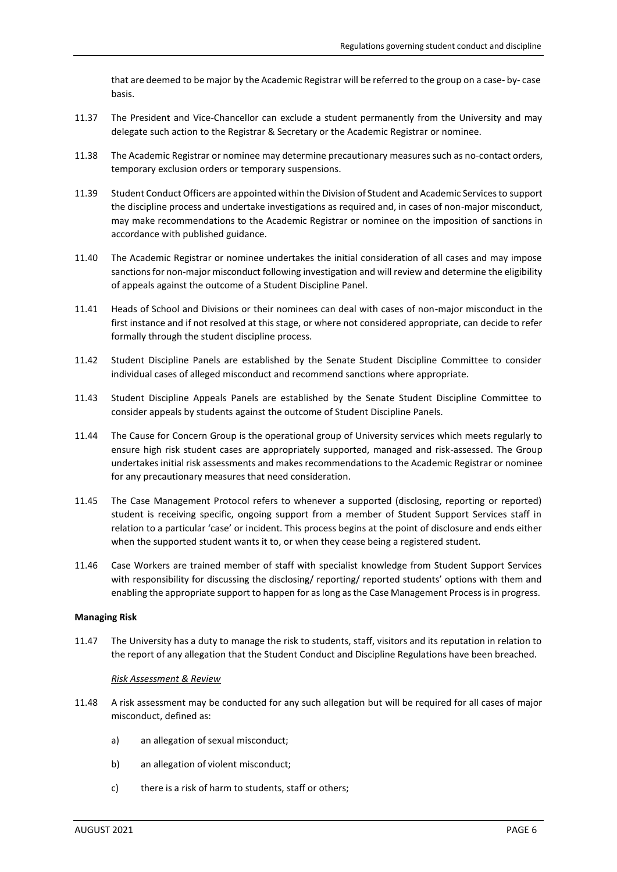that are deemed to be major by the Academic Registrar will be referred to the group on a case- by- case basis.

- 11.37 The President and Vice-Chancellor can exclude a student permanently from the University and may delegate such action to the Registrar & Secretary or the Academic Registrar or nominee.
- 11.38 The Academic Registrar or nominee may determine precautionary measures such as no-contact orders, temporary exclusion orders or temporary suspensions.
- 11.39 Student Conduct Officers are appointed within the Division of Student and Academic Services to support the discipline process and undertake investigations as required and, in cases of non-major misconduct, may make recommendations to the Academic Registrar or nominee on the imposition of sanctions in accordance with published guidance.
- 11.40 The Academic Registrar or nominee undertakes the initial consideration of all cases and may impose sanctions for non-major misconduct following investigation and will review and determine the eligibility of appeals against the outcome of a Student Discipline Panel.
- 11.41 Heads of School and Divisions or their nominees can deal with cases of non-major misconduct in the first instance and if not resolved at this stage, or where not considered appropriate, can decide to refer formally through the student discipline process.
- 11.42 Student Discipline Panels are established by the Senate Student Discipline Committee to consider individual cases of alleged misconduct and recommend sanctions where appropriate.
- 11.43 Student Discipline Appeals Panels are established by the Senate Student Discipline Committee to consider appeals by students against the outcome of Student Discipline Panels.
- 11.44 The Cause for Concern Group is the operational group of University services which meets regularly to ensure high risk student cases are appropriately supported, managed and risk-assessed. The Group undertakes initial risk assessments and makes recommendations to the Academic Registrar or nominee for any precautionary measures that need consideration.
- 11.45 The Case Management Protocol refers to whenever a supported (disclosing, reporting or reported) student is receiving specific, ongoing support from a member of Student Support Services staff in relation to a particular 'case' or incident. This process begins at the point of disclosure and ends either when the supported student wants it to, or when they cease being a registered student.
- 11.46 Case Workers are trained member of staff with specialist knowledge from Student Support Services with responsibility for discussing the disclosing/ reporting/ reported students' options with them and enabling the appropriate support to happen for as long as the Case Management Process is in progress.

# **Managing Risk**

11.47 The University has a duty to manage the risk to students, staff, visitors and its reputation in relation to the report of any allegation that the Student Conduct and Discipline Regulations have been breached.

# *Risk Assessment & Review*

- 11.48 A risk assessment may be conducted for any such allegation but will be required for all cases of major misconduct, defined as:
	- a) an allegation of sexual misconduct;
	- b) an allegation of violent misconduct;
	- c) there is a risk of harm to students, staff or others;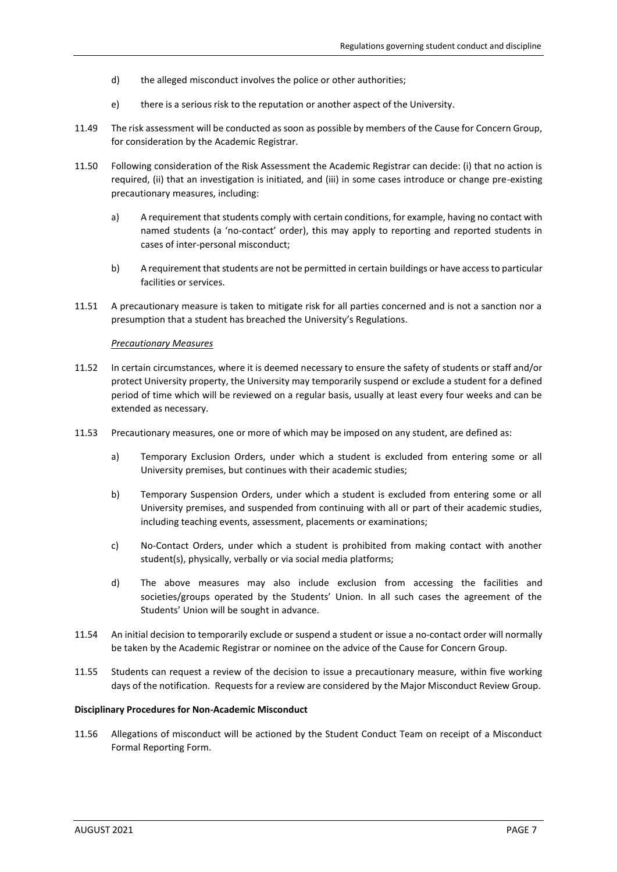- d) the alleged misconduct involves the police or other authorities;
- e) there is a serious risk to the reputation or another aspect of the University.
- 11.49 The risk assessment will be conducted as soon as possible by members of the Cause for Concern Group, for consideration by the Academic Registrar.
- 11.50 Following consideration of the Risk Assessment the Academic Registrar can decide: (i) that no action is required, (ii) that an investigation is initiated, and (iii) in some cases introduce or change pre-existing precautionary measures, including:
	- a) A requirement that students comply with certain conditions, for example, having no contact with named students (a 'no-contact' order), this may apply to reporting and reported students in cases of inter-personal misconduct;
	- b) A requirement that students are not be permitted in certain buildings or have accessto particular facilities or services.
- 11.51 A precautionary measure is taken to mitigate risk for all parties concerned and is not a sanction nor a presumption that a student has breached the University's Regulations.

#### *Precautionary Measures*

- 11.52 In certain circumstances, where it is deemed necessary to ensure the safety of students or staff and/or protect University property, the University may temporarily suspend or exclude a student for a defined period of time which will be reviewed on a regular basis, usually at least every four weeks and can be extended as necessary.
- 11.53 Precautionary measures, one or more of which may be imposed on any student, are defined as:
	- a) Temporary Exclusion Orders, under which a student is excluded from entering some or all University premises, but continues with their academic studies;
	- b) Temporary Suspension Orders, under which a student is excluded from entering some or all University premises, and suspended from continuing with all or part of their academic studies, including teaching events, assessment, placements or examinations;
	- c) No-Contact Orders, under which a student is prohibited from making contact with another student(s), physically, verbally or via social media platforms;
	- d) The above measures may also include exclusion from accessing the facilities and societies/groups operated by the Students' Union. In all such cases the agreement of the Students' Union will be sought in advance.
- 11.54 An initial decision to temporarily exclude or suspend a student or issue a no-contact order will normally be taken by the Academic Registrar or nominee on the advice of the Cause for Concern Group.
- 11.55 Students can request a review of the decision to issue a precautionary measure, within five working days of the notification. Requests for a review are considered by the Major Misconduct Review Group.

#### **Disciplinary Procedures for Non-Academic Misconduct**

11.56 Allegations of misconduct will be actioned by the Student Conduct Team on receipt of a Misconduct Formal Reporting Form.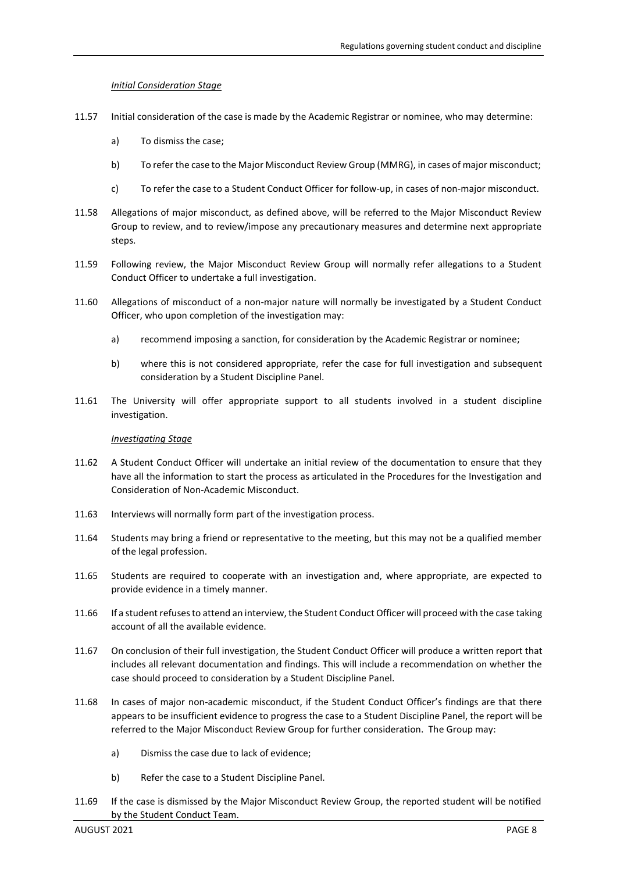# *Initial Consideration Stage*

- 11.57 Initial consideration of the case is made by the Academic Registrar or nominee, who may determine:
	- a) To dismiss the case;
	- b) To refer the case to the Major Misconduct Review Group (MMRG), in cases of major misconduct;
	- c) To refer the case to a Student Conduct Officer for follow-up, in cases of non-major misconduct.
- 11.58 Allegations of major misconduct, as defined above, will be referred to the Major Misconduct Review Group to review, and to review/impose any precautionary measures and determine next appropriate steps.
- 11.59 Following review, the Major Misconduct Review Group will normally refer allegations to a Student Conduct Officer to undertake a full investigation.
- 11.60 Allegations of misconduct of a non-major nature will normally be investigated by a Student Conduct Officer, who upon completion of the investigation may:
	- a) recommend imposing a sanction, for consideration by the Academic Registrar or nominee;
	- b) where this is not considered appropriate, refer the case for full investigation and subsequent consideration by a Student Discipline Panel.
- 11.61 The University will offer appropriate support to all students involved in a student discipline investigation.

# *Investigating Stage*

- 11.62 A Student Conduct Officer will undertake an initial review of the documentation to ensure that they have all the information to start the process as articulated in the Procedures for the Investigation and Consideration of Non-Academic Misconduct.
- 11.63 Interviews will normally form part of the investigation process.
- 11.64 Students may bring a friend or representative to the meeting, but this may not be a qualified member of the legal profession.
- 11.65 Students are required to cooperate with an investigation and, where appropriate, are expected to provide evidence in a timely manner.
- 11.66 If a student refuses to attend an interview, the Student Conduct Officer will proceed with the case taking account of all the available evidence.
- 11.67 On conclusion of their full investigation, the Student Conduct Officer will produce a written report that includes all relevant documentation and findings. This will include a recommendation on whether the case should proceed to consideration by a Student Discipline Panel.
- 11.68 In cases of major non-academic misconduct, if the Student Conduct Officer's findings are that there appears to be insufficient evidence to progress the case to a Student Discipline Panel, the report will be referred to the Major Misconduct Review Group for further consideration. The Group may:
	- a) Dismiss the case due to lack of evidence;
	- b) Refer the case to a Student Discipline Panel.
- 11.69 If the case is dismissed by the Major Misconduct Review Group, the reported student will be notified by the Student Conduct Team.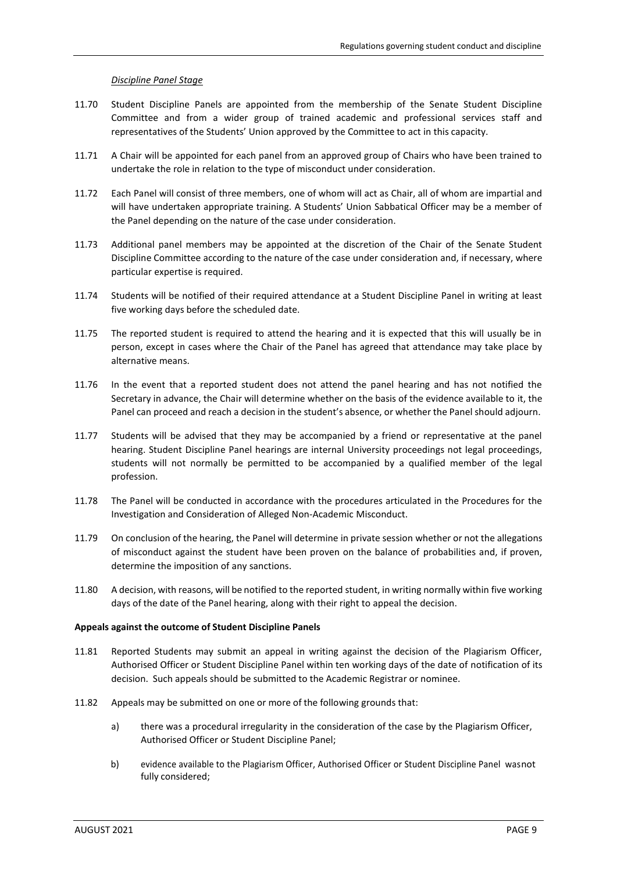# *Discipline Panel Stage*

- 11.70 Student Discipline Panels are appointed from the membership of the Senate Student Discipline Committee and from a wider group of trained academic and professional services staff and representatives of the Students' Union approved by the Committee to act in this capacity.
- 11.71 A Chair will be appointed for each panel from an approved group of Chairs who have been trained to undertake the role in relation to the type of misconduct under consideration.
- 11.72 Each Panel will consist of three members, one of whom will act as Chair, all of whom are impartial and will have undertaken appropriate training. A Students' Union Sabbatical Officer may be a member of the Panel depending on the nature of the case under consideration.
- 11.73 Additional panel members may be appointed at the discretion of the Chair of the Senate Student Discipline Committee according to the nature of the case under consideration and, if necessary, where particular expertise is required.
- 11.74 Students will be notified of their required attendance at a Student Discipline Panel in writing at least five working days before the scheduled date.
- 11.75 The reported student is required to attend the hearing and it is expected that this will usually be in person, except in cases where the Chair of the Panel has agreed that attendance may take place by alternative means.
- 11.76 In the event that a reported student does not attend the panel hearing and has not notified the Secretary in advance, the Chair will determine whether on the basis of the evidence available to it, the Panel can proceed and reach a decision in the student's absence, or whether the Panel should adjourn.
- 11.77 Students will be advised that they may be accompanied by a friend or representative at the panel hearing. Student Discipline Panel hearings are internal University proceedings not legal proceedings, students will not normally be permitted to be accompanied by a qualified member of the legal profession.
- 11.78 The Panel will be conducted in accordance with the procedures articulated in the Procedures for the Investigation and Consideration of Alleged Non-Academic Misconduct.
- 11.79 On conclusion of the hearing, the Panel will determine in private session whether or not the allegations of misconduct against the student have been proven on the balance of probabilities and, if proven, determine the imposition of any sanctions.
- 11.80 A decision, with reasons, will be notified to the reported student, in writing normally within five working days of the date of the Panel hearing, along with their right to appeal the decision.

# **Appeals against the outcome of Student Discipline Panels**

- 11.81 Reported Students may submit an appeal in writing against the decision of the Plagiarism Officer, Authorised Officer or Student Discipline Panel within ten working days of the date of notification of its decision. Such appeals should be submitted to the Academic Registrar or nominee.
- 11.82 Appeals may be submitted on one or more of the following grounds that:
	- a) there was a procedural irregularity in the consideration of the case by the Plagiarism Officer, Authorised Officer or Student Discipline Panel;
	- b) evidence available to the Plagiarism Officer, Authorised Officer or Student Discipline Panel was not fully considered;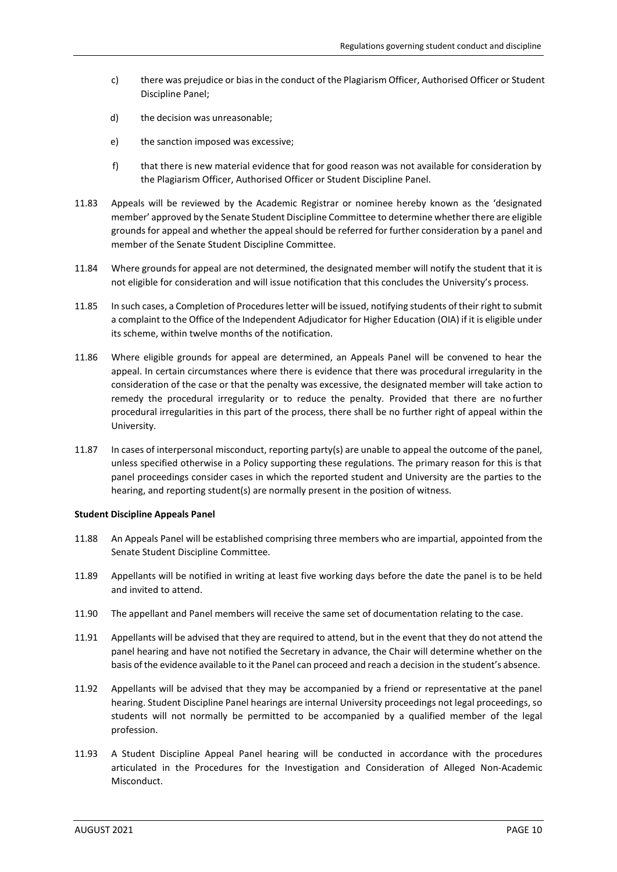- c) there was prejudice or bias in the conduct of the Plagiarism Officer, Authorised Officer or Student Discipline Panel;
- d) the decision was unreasonable;
- e) the sanction imposed was excessive;
- f) that there is new material evidence that for good reason was not available for consideration by the Plagiarism Officer, Authorised Officer or Student Discipline Panel.
- 11.83 Appeals will be reviewed by the Academic Registrar or nominee hereby known as the 'designated member' approved by the Senate Student Discipline Committee to determine whether there are eligible grounds for appeal and whether the appeal should be referred for further consideration by a panel and member of the Senate Student Discipline Committee.
- 11.84 Where grounds for appeal are not determined, the designated member will notify the student that it is not eligible for consideration and will issue notification that this concludes the University's process.
- 11.85 In such cases, a Completion of Proceduresletter will be issued, notifying students of their right to submit a complaint to the Office of the Independent Adjudicator for Higher Education (OIA) if it is eligible under its scheme, within twelve months of the notification.
- 11.86 Where eligible grounds for appeal are determined, an Appeals Panel will be convened to hear the appeal. In certain circumstances where there is evidence that there was procedural irregularity in the consideration of the case or that the penalty was excessive, the designated member will take action to remedy the procedural irregularity or to reduce the penalty. Provided that there are no further procedural irregularities in this part of the process, there shall be no further right of appeal within the University.
- 11.87 In cases of interpersonal misconduct, reporting party(s) are unable to appeal the outcome of the panel, unless specified otherwise in a Policy supporting these regulations. The primary reason for this is that panel proceedings consider cases in which the reported student and University are the parties to the hearing, and reporting student(s) are normally present in the position of witness.

# **Student Discipline Appeals Panel**

- 11.88 An Appeals Panel will be established comprising three members who are impartial, appointed from the Senate Student Discipline Committee.
- 11.89 Appellants will be notified in writing at least five working days before the date the panel is to be held and invited to attend.
- 11.90 The appellant and Panel members will receive the same set of documentation relating to the case.
- 11.91 Appellants will be advised that they are required to attend, but in the event that they do not attend the panel hearing and have not notified the Secretary in advance, the Chair will determine whether on the basis ofthe evidence available to it the Panel can proceed and reach a decision in the student's absence.
- 11.92 Appellants will be advised that they may be accompanied by a friend or representative at the panel hearing. Student Discipline Panel hearings are internal University proceedings not legal proceedings, so students will not normally be permitted to be accompanied by a qualified member of the legal profession.
- 11.93 A Student Discipline Appeal Panel hearing will be conducted in accordance with the procedures articulated in the Procedures for the Investigation and Consideration of Alleged Non-Academic Misconduct.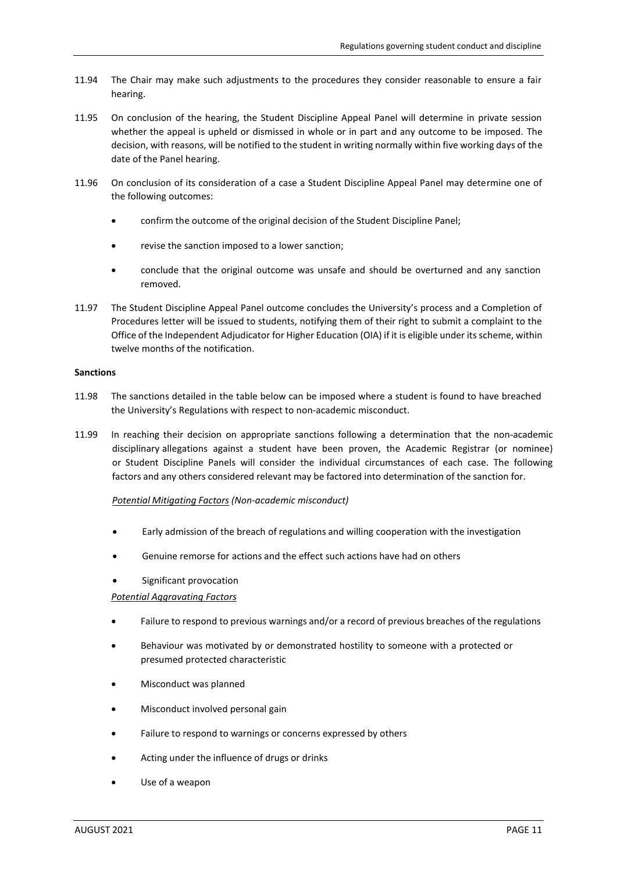- 11.94 The Chair may make such adjustments to the procedures they consider reasonable to ensure a fair hearing.
- 11.95 On conclusion of the hearing, the Student Discipline Appeal Panel will determine in private session whether the appeal is upheld or dismissed in whole or in part and any outcome to be imposed. The decision, with reasons, will be notified to the student in writing normally within five working days of the date of the Panel hearing.
- 11.96 On conclusion of its consideration of a case a Student Discipline Appeal Panel may determine one of the following outcomes:
	- confirm the outcome of the original decision of the Student Discipline Panel;
	- revise the sanction imposed to a lower sanction;
	- conclude that the original outcome was unsafe and should be overturned and any sanction removed.
- 11.97 The Student Discipline Appeal Panel outcome concludes the University's process and a Completion of Procedures letter will be issued to students, notifying them of their right to submit a complaint to the Office of the Independent Adjudicator for Higher Education (OIA) if it is eligible under itsscheme, within twelve months of the notification.

### **Sanctions**

- 11.98 The sanctions detailed in the table below can be imposed where a student is found to have breached the University's Regulations with respect to non-academic misconduct.
- 11.99 In reaching their decision on appropriate sanctions following a determination that the non-academic disciplinary allegations against a student have been proven, the Academic Registrar (or nominee) or Student Discipline Panels will consider the individual circumstances of each case. The following factors and any others considered relevant may be factored into determination of the sanction for.

# *Potential Mitigating Factors (Non-academic misconduct)*

- Early admission of the breach of regulations and willing cooperation with the investigation
- Genuine remorse for actions and the effect such actions have had on others
- Significant provocation

# *Potential Aggravating Factors*

- Failure to respond to previous warnings and/or a record of previous breaches of the regulations
- Behaviour was motivated by or demonstrated hostility to someone with a protected or presumed protected characteristic
- Misconduct was planned
- Misconduct involved personal gain
- Failure to respond to warnings or concerns expressed by others
- Acting under the influence of drugs or drinks
- Use of a weapon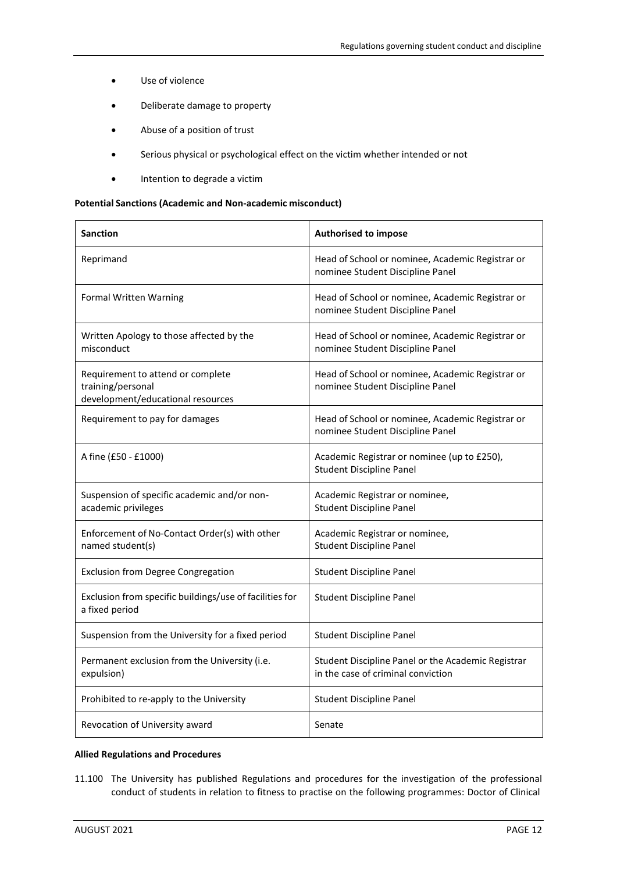- Use of violence
- Deliberate damage to property
- Abuse of a position of trust
- Serious physical or psychological effect on the victim whether intended or not
- Intention to degrade a victim

### **Potential Sanctions (Academic and Non-academic misconduct)**

| <b>Sanction</b>                                                                             | <b>Authorised to impose</b>                                                              |
|---------------------------------------------------------------------------------------------|------------------------------------------------------------------------------------------|
| Reprimand                                                                                   | Head of School or nominee, Academic Registrar or<br>nominee Student Discipline Panel     |
| Formal Written Warning                                                                      | Head of School or nominee, Academic Registrar or<br>nominee Student Discipline Panel     |
| Written Apology to those affected by the<br>misconduct                                      | Head of School or nominee, Academic Registrar or<br>nominee Student Discipline Panel     |
| Requirement to attend or complete<br>training/personal<br>development/educational resources | Head of School or nominee, Academic Registrar or<br>nominee Student Discipline Panel     |
| Requirement to pay for damages                                                              | Head of School or nominee, Academic Registrar or<br>nominee Student Discipline Panel     |
| A fine (£50 - £1000)                                                                        | Academic Registrar or nominee (up to £250),<br><b>Student Discipline Panel</b>           |
| Suspension of specific academic and/or non-<br>academic privileges                          | Academic Registrar or nominee,<br><b>Student Discipline Panel</b>                        |
| Enforcement of No-Contact Order(s) with other<br>named student(s)                           | Academic Registrar or nominee,<br><b>Student Discipline Panel</b>                        |
| <b>Exclusion from Degree Congregation</b>                                                   | <b>Student Discipline Panel</b>                                                          |
| Exclusion from specific buildings/use of facilities for<br>a fixed period                   | <b>Student Discipline Panel</b>                                                          |
| Suspension from the University for a fixed period                                           | <b>Student Discipline Panel</b>                                                          |
| Permanent exclusion from the University (i.e.<br>expulsion)                                 | Student Discipline Panel or the Academic Registrar<br>in the case of criminal conviction |
| Prohibited to re-apply to the University                                                    | <b>Student Discipline Panel</b>                                                          |
| Revocation of University award                                                              | Senate                                                                                   |

# **Allied Regulations and Procedures**

11.100 The University has published Regulations and procedures for the investigation of the professional conduct of students in relation to fitness to practise on the following programmes: Doctor of Clinical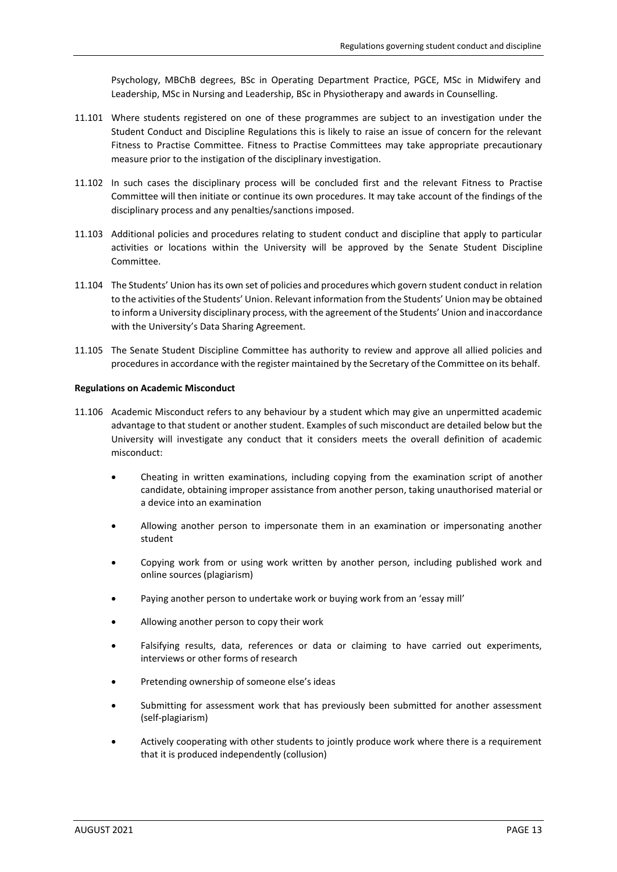Psychology, MBChB degrees, BSc in Operating Department Practice, PGCE, MSc in Midwifery and Leadership, MSc in Nursing and Leadership, BSc in Physiotherapy and awards in Counselling.

- 11.101 Where students registered on one of these programmes are subject to an investigation under the Student Conduct and Discipline Regulations this is likely to raise an issue of concern for the relevant Fitness to Practise Committee. Fitness to Practise Committees may take appropriate precautionary measure prior to the instigation of the disciplinary investigation.
- 11.102 In such cases the disciplinary process will be concluded first and the relevant Fitness to Practise Committee will then initiate or continue its own procedures. It may take account of the findings of the disciplinary process and any penalties/sanctions imposed.
- 11.103 Additional policies and procedures relating to student conduct and discipline that apply to particular activities or locations within the University will be approved by the Senate Student Discipline Committee.
- 11.104 The Students' Union hasits own set of policies and procedures which govern student conduct in relation to the activities of the Students' Union. Relevant information from the Students' Union may be obtained to inform a University disciplinary process, with the agreement of the Students' Union and inaccordance with the University's Data Sharing Agreement.
- 11.105 The Senate Student Discipline Committee has authority to review and approve all allied policies and procedures in accordance with the register maintained by the Secretary of the Committee on its behalf.

### **Regulations on Academic Misconduct**

- 11.106 Academic Misconduct refers to any behaviour by a student which may give an unpermitted academic advantage to that student or another student. Examples of such misconduct are detailed below but the University will investigate any conduct that it considers meets the overall definition of academic misconduct:
	- Cheating in written examinations, including copying from the examination script of another candidate, obtaining improper assistance from another person, taking unauthorised material or a device into an examination
	- Allowing another person to impersonate them in an examination or impersonating another student
	- Copying work from or using work written by another person, including published work and online sources (plagiarism)
	- Paying another person to undertake work or buying work from an 'essay mill'
	- Allowing another person to copy their work
	- Falsifying results, data, references or data or claiming to have carried out experiments, interviews or other forms of research
	- Pretending ownership of someone else's ideas
	- Submitting for assessment work that has previously been submitted for another assessment (self-plagiarism)
	- Actively cooperating with other students to jointly produce work where there is a requirement that it is produced independently (collusion)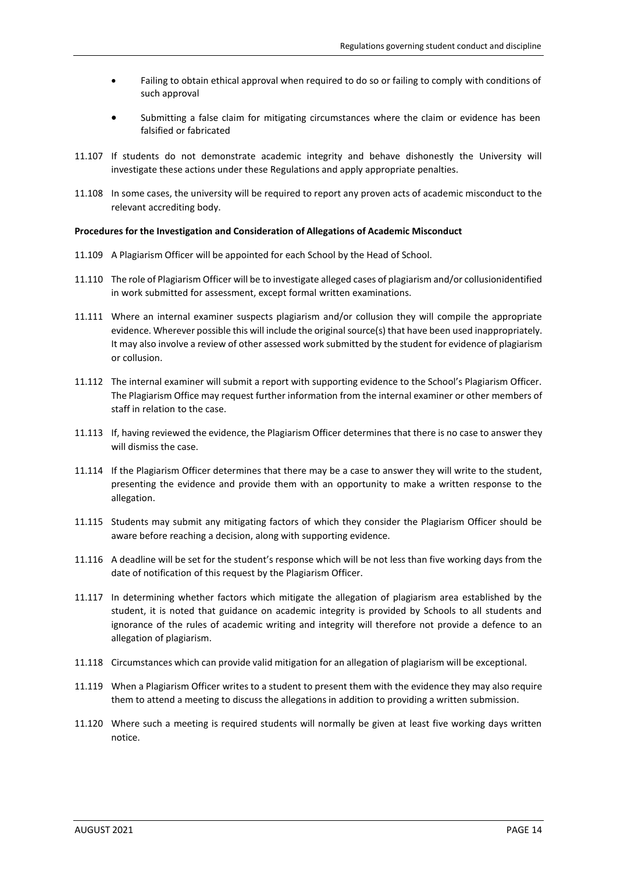- Failing to obtain ethical approval when required to do so or failing to comply with conditions of such approval
- Submitting a false claim for mitigating circumstances where the claim or evidence has been falsified or fabricated
- 11.107 If students do not demonstrate academic integrity and behave dishonestly the University will investigate these actions under these Regulations and apply appropriate penalties.
- 11.108 In some cases, the university will be required to report any proven acts of academic misconduct to the relevant accrediting body.

# **Procedures for the Investigation and Consideration of Allegations of Academic Misconduct**

- 11.109 A Plagiarism Officer will be appointed for each School by the Head of School.
- 11.110 The role of Plagiarism Officer will be to investigate alleged cases of plagiarism and/or collusionidentified in work submitted for assessment, except formal written examinations.
- 11.111 Where an internal examiner suspects plagiarism and/or collusion they will compile the appropriate evidence. Wherever possible this will include the original source(s) that have been used inappropriately. It may also involve a review of other assessed work submitted by the student for evidence of plagiarism or collusion.
- 11.112 The internal examiner will submit a report with supporting evidence to the School's Plagiarism Officer. The Plagiarism Office may request further information from the internal examiner or other members of staff in relation to the case.
- 11.113 If, having reviewed the evidence, the Plagiarism Officer determines that there is no case to answer they will dismiss the case.
- 11.114 If the Plagiarism Officer determines that there may be a case to answer they will write to the student, presenting the evidence and provide them with an opportunity to make a written response to the allegation.
- 11.115 Students may submit any mitigating factors of which they consider the Plagiarism Officer should be aware before reaching a decision, along with supporting evidence.
- 11.116 A deadline will be set for the student's response which will be not less than five working days from the date of notification of this request by the Plagiarism Officer.
- 11.117 In determining whether factors which mitigate the allegation of plagiarism area established by the student, it is noted that guidance on academic integrity is provided by Schools to all students and ignorance of the rules of academic writing and integrity will therefore not provide a defence to an allegation of plagiarism.
- 11.118 Circumstances which can provide valid mitigation for an allegation of plagiarism will be exceptional.
- 11.119 When a Plagiarism Officer writes to a student to present them with the evidence they may also require them to attend a meeting to discuss the allegations in addition to providing a written submission.
- 11.120 Where such a meeting is required students will normally be given at least five working days written notice.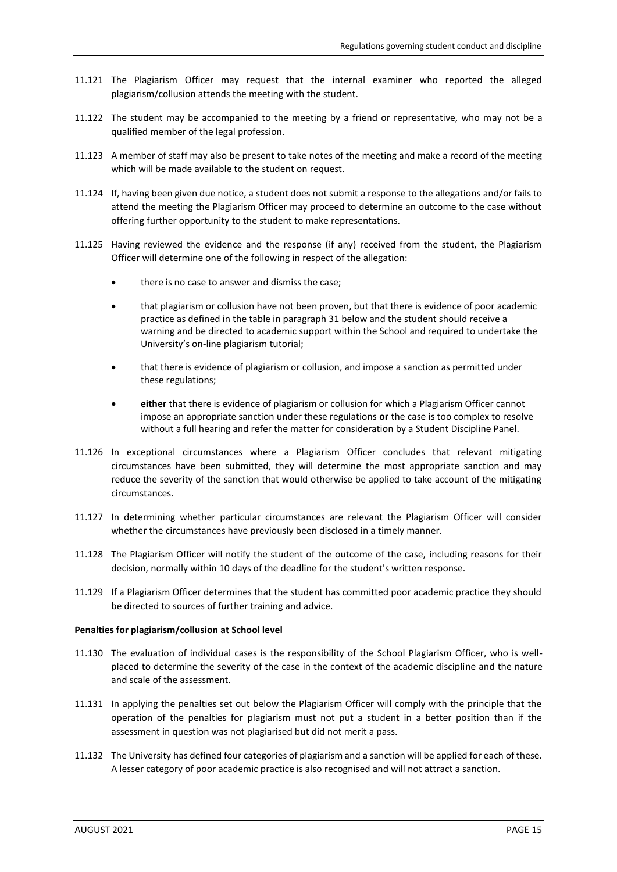- 11.121 The Plagiarism Officer may request that the internal examiner who reported the alleged plagiarism/collusion attends the meeting with the student.
- 11.122 The student may be accompanied to the meeting by a friend or representative, who may not be a qualified member of the legal profession.
- 11.123 A member of staff may also be present to take notes of the meeting and make a record of the meeting which will be made available to the student on request.
- 11.124 If, having been given due notice, a student does not submit a response to the allegations and/or fails to attend the meeting the Plagiarism Officer may proceed to determine an outcome to the case without offering further opportunity to the student to make representations.
- 11.125 Having reviewed the evidence and the response (if any) received from the student, the Plagiarism Officer will determine one of the following in respect of the allegation:
	- there is no case to answer and dismiss the case;
	- that plagiarism or collusion have not been proven, but that there is evidence of poor academic practice as defined in the table in paragraph 31 below and the student should receive a warning and be directed to academic support within the School and required to undertake the University's on-line plagiarism tutorial;
	- that there is evidence of plagiarism or collusion, and impose a sanction as permitted under these regulations;
	- **either** that there is evidence of plagiarism or collusion for which a Plagiarism Officer cannot impose an appropriate sanction under these regulations **or** the case is too complex to resolve without a full hearing and refer the matter for consideration by a Student Discipline Panel.
- 11.126 In exceptional circumstances where a Plagiarism Officer concludes that relevant mitigating circumstances have been submitted, they will determine the most appropriate sanction and may reduce the severity of the sanction that would otherwise be applied to take account of the mitigating circumstances.
- 11.127 In determining whether particular circumstances are relevant the Plagiarism Officer will consider whether the circumstances have previously been disclosed in a timely manner.
- 11.128 The Plagiarism Officer will notify the student of the outcome of the case, including reasons for their decision, normally within 10 days of the deadline for the student's written response.
- 11.129 If a Plagiarism Officer determines that the student has committed poor academic practice they should be directed to sources of further training and advice.

#### **Penalties for plagiarism/collusion at School level**

- 11.130 The evaluation of individual cases is the responsibility of the School Plagiarism Officer, who is wellplaced to determine the severity of the case in the context of the academic discipline and the nature and scale of the assessment.
- 11.131 In applying the penalties set out below the Plagiarism Officer will comply with the principle that the operation of the penalties for plagiarism must not put a student in a better position than if the assessment in question was not plagiarised but did not merit a pass.
- 11.132 The University has defined four categories of plagiarism and a sanction will be applied for each of these. A lesser category of poor academic practice is also recognised and will not attract a sanction.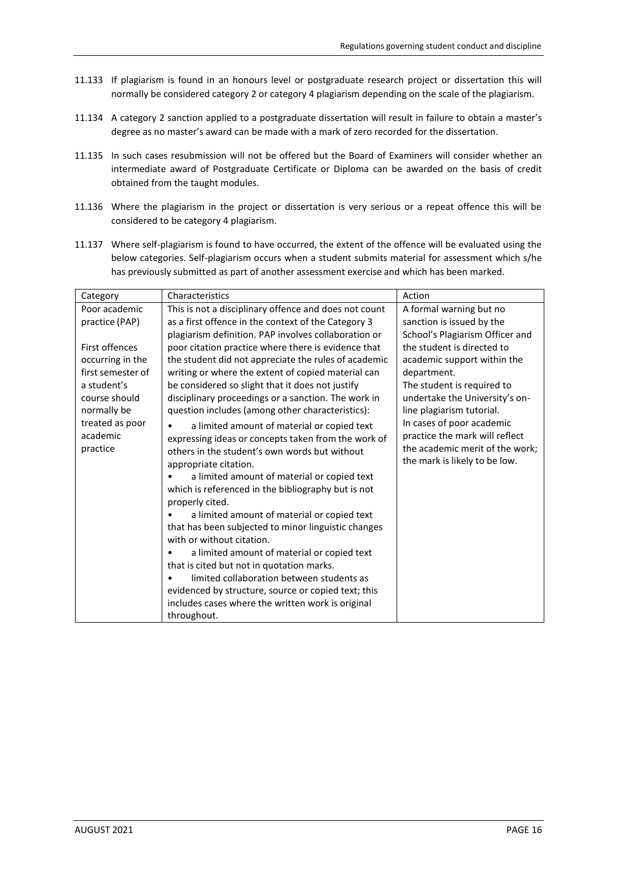- 11.133 If plagiarism is found in an honours level or postgraduate research project or dissertation this will normally be considered category 2 or category 4 plagiarism depending on the scale of the plagiarism.
- 11.134 A category 2 sanction applied to a postgraduate dissertation will result in failure to obtain a master's degree as no master's award can be made with a mark of zero recorded for the dissertation.
- 11.135 In such cases resubmission will not be offered but the Board of Examiners will consider whether an intermediate award of Postgraduate Certificate or Diploma can be awarded on the basis of credit obtained from the taught modules.
- 11.136 Where the plagiarism in the project or dissertation is very serious or a repeat offence this will be considered to be category 4 plagiarism.
- 11.137 Where self-plagiarism is found to have occurred, the extent of the offence will be evaluated using the below categories. Self-plagiarism occurs when a student submits material for assessment which s/he has previously submitted as part of another assessment exercise and which has been marked.

| Category                                                                                                                                                                             | Characteristics                                                                                                                                                                                                                                                                                                                                                                                                                                                                                                                                                                                                                                                                                                                                                                                                                                                                                                                                                                                                                                                                                                                                                                                                         | Action                                                                                                                                                                                                                                                                                                                                                                                              |
|--------------------------------------------------------------------------------------------------------------------------------------------------------------------------------------|-------------------------------------------------------------------------------------------------------------------------------------------------------------------------------------------------------------------------------------------------------------------------------------------------------------------------------------------------------------------------------------------------------------------------------------------------------------------------------------------------------------------------------------------------------------------------------------------------------------------------------------------------------------------------------------------------------------------------------------------------------------------------------------------------------------------------------------------------------------------------------------------------------------------------------------------------------------------------------------------------------------------------------------------------------------------------------------------------------------------------------------------------------------------------------------------------------------------------|-----------------------------------------------------------------------------------------------------------------------------------------------------------------------------------------------------------------------------------------------------------------------------------------------------------------------------------------------------------------------------------------------------|
| Poor academic<br>practice (PAP)<br>First offences<br>occurring in the<br>first semester of<br>a student's<br>course should<br>normally be<br>treated as poor<br>academic<br>practice | This is not a disciplinary offence and does not count<br>as a first offence in the context of the Category 3<br>plagiarism definition. PAP involves collaboration or<br>poor citation practice where there is evidence that<br>the student did not appreciate the rules of academic<br>writing or where the extent of copied material can<br>be considered so slight that it does not justify<br>disciplinary proceedings or a sanction. The work in<br>question includes (among other characteristics):<br>a limited amount of material or copied text<br>expressing ideas or concepts taken from the work of<br>others in the student's own words but without<br>appropriate citation.<br>a limited amount of material or copied text<br>which is referenced in the bibliography but is not<br>properly cited.<br>a limited amount of material or copied text<br>that has been subjected to minor linguistic changes<br>with or without citation.<br>a limited amount of material or copied text<br>that is cited but not in quotation marks.<br>limited collaboration between students as<br>evidenced by structure, source or copied text; this<br>includes cases where the written work is original<br>throughout. | A formal warning but no<br>sanction is issued by the<br>School's Plagiarism Officer and<br>the student is directed to<br>academic support within the<br>department.<br>The student is required to<br>undertake the University's on-<br>line plagiarism tutorial.<br>In cases of poor academic<br>practice the mark will reflect<br>the academic merit of the work;<br>the mark is likely to be low. |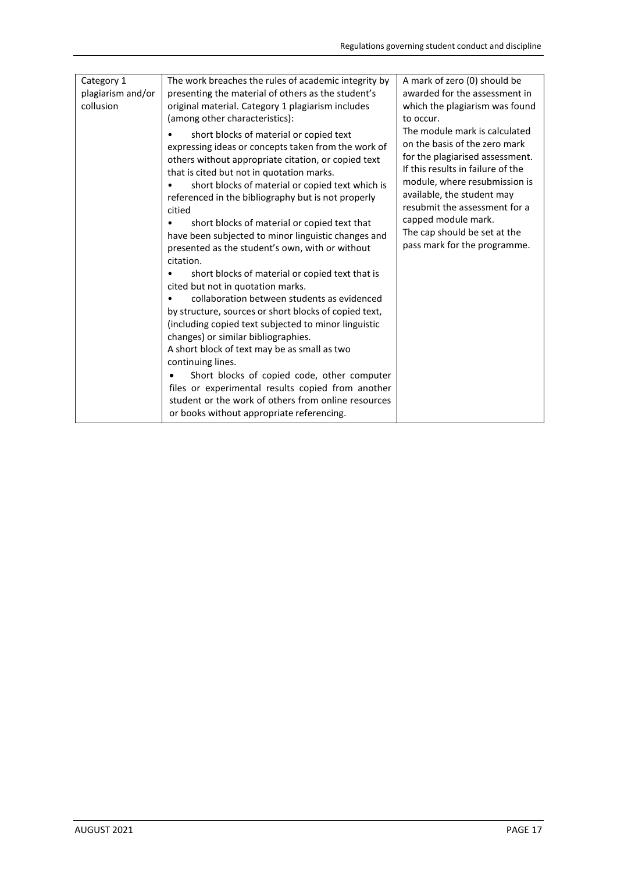| Category 1<br>The work breaches the rules of academic integrity by<br>plagiarism and/or<br>presenting the material of others as the student's<br>collusion<br>original material. Category 1 plagiarism includes<br>(among other characteristics):<br>short blocks of material or copied text | A mark of zero (0) should be<br>awarded for the assessment in<br>which the plagiarism was found<br>to occur.<br>The module mark is calculated                                                                                                                                                                                                                                                                                                                                                                                                                                             |                                                                                                                                                                                                                                                                                              |
|----------------------------------------------------------------------------------------------------------------------------------------------------------------------------------------------------------------------------------------------------------------------------------------------|-------------------------------------------------------------------------------------------------------------------------------------------------------------------------------------------------------------------------------------------------------------------------------------------------------------------------------------------------------------------------------------------------------------------------------------------------------------------------------------------------------------------------------------------------------------------------------------------|----------------------------------------------------------------------------------------------------------------------------------------------------------------------------------------------------------------------------------------------------------------------------------------------|
|                                                                                                                                                                                                                                                                                              | expressing ideas or concepts taken from the work of<br>others without appropriate citation, or copied text<br>that is cited but not in quotation marks.<br>short blocks of material or copied text which is<br>referenced in the bibliography but is not properly<br>citied<br>short blocks of material or copied text that<br>have been subjected to minor linguistic changes and<br>presented as the student's own, with or without<br>citation.<br>short blocks of material or copied text that is<br>cited but not in quotation marks.<br>collaboration between students as evidenced | on the basis of the zero mark<br>for the plagiarised assessment.<br>If this results in failure of the<br>module, where resubmission is<br>available, the student may<br>resubmit the assessment for a<br>capped module mark.<br>The cap should be set at the<br>pass mark for the programme. |
|                                                                                                                                                                                                                                                                                              | by structure, sources or short blocks of copied text,<br>(including copied text subjected to minor linguistic<br>changes) or similar bibliographies.<br>A short block of text may be as small as two<br>continuing lines.<br>Short blocks of copied code, other computer                                                                                                                                                                                                                                                                                                                  |                                                                                                                                                                                                                                                                                              |
|                                                                                                                                                                                                                                                                                              | files or experimental results copied from another<br>student or the work of others from online resources<br>or books without appropriate referencing.                                                                                                                                                                                                                                                                                                                                                                                                                                     |                                                                                                                                                                                                                                                                                              |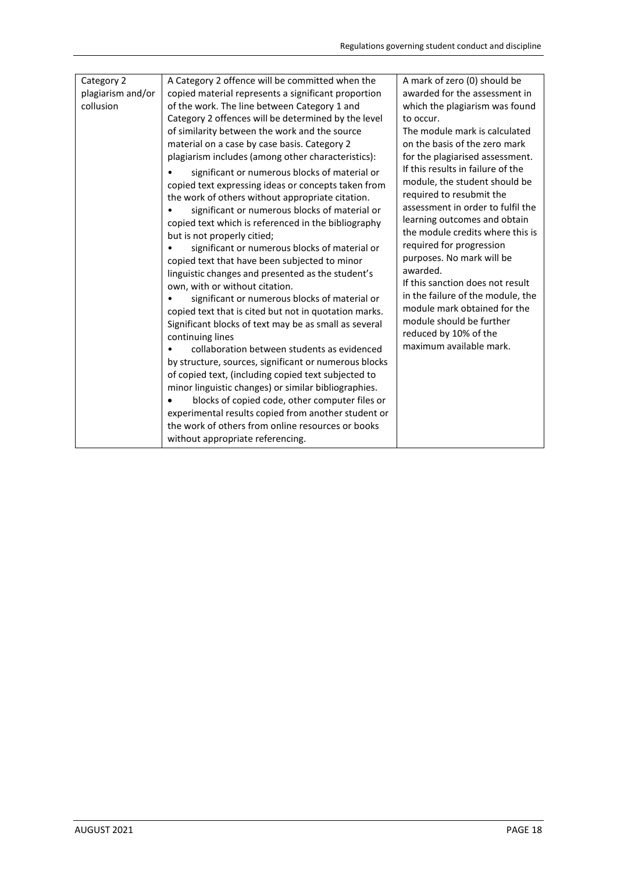| Category 2<br>plagiarism and/or<br>collusion | A Category 2 offence will be committed when the<br>copied material represents a significant proportion<br>of the work. The line between Category 1 and<br>Category 2 offences will be determined by the level<br>of similarity between the work and the source<br>material on a case by case basis. Category 2<br>plagiarism includes (among other characteristics):<br>significant or numerous blocks of material or<br>copied text expressing ideas or concepts taken from<br>the work of others without appropriate citation.<br>significant or numerous blocks of material or<br>copied text which is referenced in the bibliography<br>but is not properly citied;<br>significant or numerous blocks of material or<br>copied text that have been subjected to minor<br>linguistic changes and presented as the student's<br>own, with or without citation.<br>significant or numerous blocks of material or<br>copied text that is cited but not in quotation marks.<br>Significant blocks of text may be as small as several<br>continuing lines<br>collaboration between students as evidenced<br>by structure, sources, significant or numerous blocks<br>of copied text, (including copied text subjected to<br>minor linguistic changes) or similar bibliographies.<br>blocks of copied code, other computer files or<br>experimental results copied from another student or<br>the work of others from online resources or books<br>without appropriate referencing. | A mark of zero (0) should be<br>awarded for the assessment in<br>which the plagiarism was found<br>to occur.<br>The module mark is calculated<br>on the basis of the zero mark<br>for the plagiarised assessment.<br>If this results in failure of the<br>module, the student should be<br>required to resubmit the<br>assessment in order to fulfil the<br>learning outcomes and obtain<br>the module credits where this is<br>required for progression<br>purposes. No mark will be<br>awarded.<br>If this sanction does not result<br>in the failure of the module, the<br>module mark obtained for the<br>module should be further<br>reduced by 10% of the<br>maximum available mark. |
|----------------------------------------------|----------------------------------------------------------------------------------------------------------------------------------------------------------------------------------------------------------------------------------------------------------------------------------------------------------------------------------------------------------------------------------------------------------------------------------------------------------------------------------------------------------------------------------------------------------------------------------------------------------------------------------------------------------------------------------------------------------------------------------------------------------------------------------------------------------------------------------------------------------------------------------------------------------------------------------------------------------------------------------------------------------------------------------------------------------------------------------------------------------------------------------------------------------------------------------------------------------------------------------------------------------------------------------------------------------------------------------------------------------------------------------------------------------------------------------------------------------------------------------|--------------------------------------------------------------------------------------------------------------------------------------------------------------------------------------------------------------------------------------------------------------------------------------------------------------------------------------------------------------------------------------------------------------------------------------------------------------------------------------------------------------------------------------------------------------------------------------------------------------------------------------------------------------------------------------------|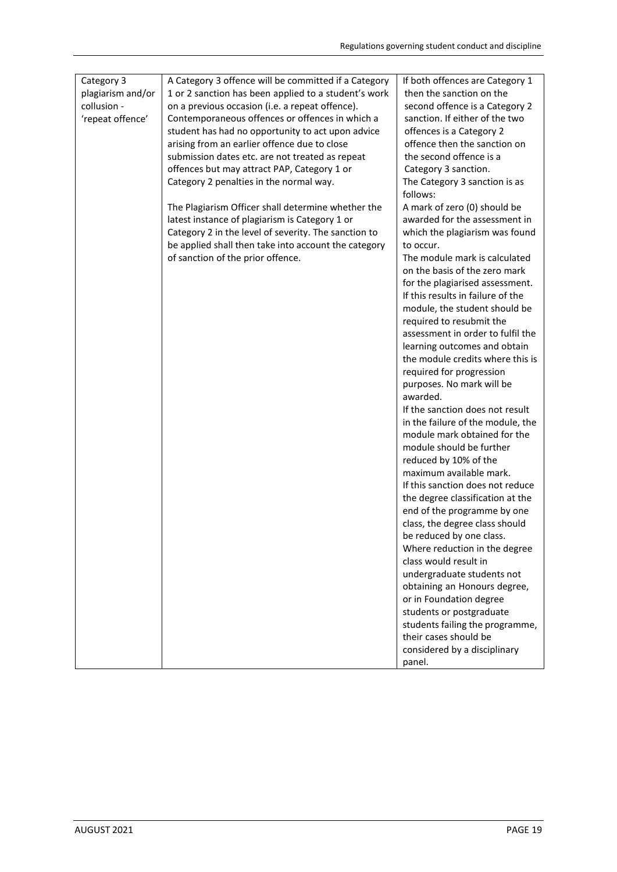| Category 3<br>plagiarism and/or<br>collusion -<br>'repeat offence' | A Category 3 offence will be committed if a Category<br>1 or 2 sanction has been applied to a student's work<br>on a previous occasion (i.e. a repeat offence).<br>Contemporaneous offences or offences in which a<br>student has had no opportunity to act upon advice<br>arising from an earlier offence due to close<br>submission dates etc. are not treated as repeat<br>offences but may attract PAP, Category 1 or<br>Category 2 penalties in the normal way.<br>The Plagiarism Officer shall determine whether the<br>latest instance of plagiarism is Category 1 or<br>Category 2 in the level of severity. The sanction to<br>be applied shall then take into account the category<br>of sanction of the prior offence. | If both offences are Category 1<br>then the sanction on the<br>second offence is a Category 2<br>sanction. If either of the two<br>offences is a Category 2<br>offence then the sanction on<br>the second offence is a<br>Category 3 sanction.<br>The Category 3 sanction is as<br>follows:<br>A mark of zero (0) should be<br>awarded for the assessment in<br>which the plagiarism was found<br>to occur.<br>The module mark is calculated<br>on the basis of the zero mark<br>for the plagiarised assessment.<br>If this results in failure of the<br>module, the student should be<br>required to resubmit the<br>assessment in order to fulfil the<br>learning outcomes and obtain<br>the module credits where this is<br>required for progression<br>purposes. No mark will be<br>awarded.<br>If the sanction does not result<br>in the failure of the module, the<br>module mark obtained for the<br>module should be further<br>reduced by 10% of the<br>maximum available mark.<br>If this sanction does not reduce<br>the degree classification at the<br>end of the programme by one<br>class, the degree class should<br>be reduced by one class.<br>Where reduction in the degree<br>class would result in<br>undergraduate students not<br>obtaining an Honours degree,<br>or in Foundation degree<br>students or postgraduate<br>students failing the programme,<br>their cases should be<br>considered by a disciplinary<br>panel. |
|--------------------------------------------------------------------|-----------------------------------------------------------------------------------------------------------------------------------------------------------------------------------------------------------------------------------------------------------------------------------------------------------------------------------------------------------------------------------------------------------------------------------------------------------------------------------------------------------------------------------------------------------------------------------------------------------------------------------------------------------------------------------------------------------------------------------|----------------------------------------------------------------------------------------------------------------------------------------------------------------------------------------------------------------------------------------------------------------------------------------------------------------------------------------------------------------------------------------------------------------------------------------------------------------------------------------------------------------------------------------------------------------------------------------------------------------------------------------------------------------------------------------------------------------------------------------------------------------------------------------------------------------------------------------------------------------------------------------------------------------------------------------------------------------------------------------------------------------------------------------------------------------------------------------------------------------------------------------------------------------------------------------------------------------------------------------------------------------------------------------------------------------------------------------------------------------------------------------------------------------------------------------------------|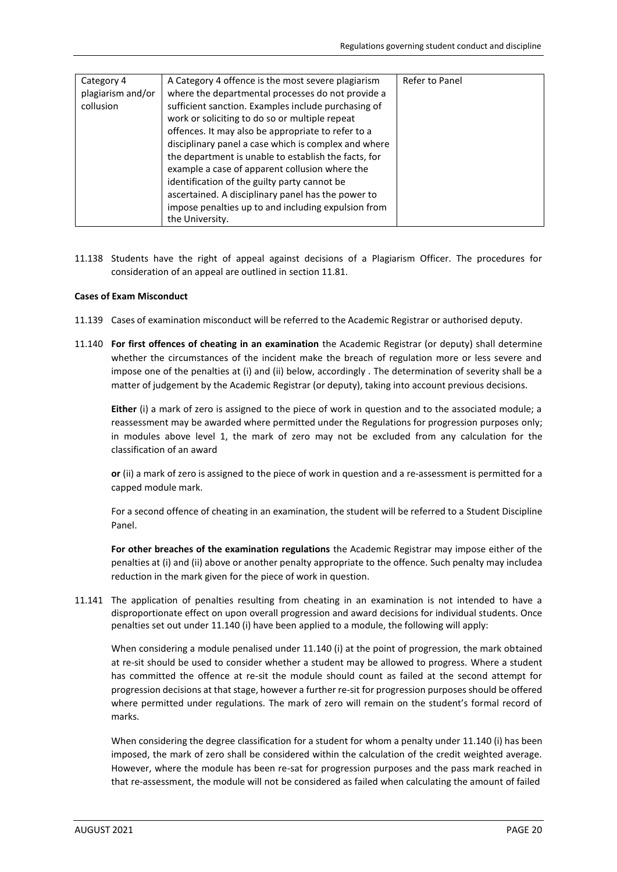| Category 4<br>plagiarism and/or<br>collusion | A Category 4 offence is the most severe plagiarism<br>where the departmental processes do not provide a<br>sufficient sanction. Examples include purchasing of<br>work or soliciting to do so or multiple repeat<br>offences. It may also be appropriate to refer to a<br>disciplinary panel a case which is complex and where<br>the department is unable to establish the facts, for | Refer to Panel |
|----------------------------------------------|----------------------------------------------------------------------------------------------------------------------------------------------------------------------------------------------------------------------------------------------------------------------------------------------------------------------------------------------------------------------------------------|----------------|
|                                              | example a case of apparent collusion where the<br>identification of the guilty party cannot be<br>ascertained. A disciplinary panel has the power to<br>impose penalties up to and including expulsion from<br>the University.                                                                                                                                                         |                |

11.138 Students have the right of appeal against decisions of a Plagiarism Officer. The procedures for consideration of an appeal are outlined in section 11.81.

# **Cases of Exam Misconduct**

- 11.139 Cases of examination misconduct will be referred to the Academic Registrar or authorised deputy.
- 11.140 **For first offences of cheating in an examination** the Academic Registrar (or deputy) shall determine whether the circumstances of the incident make the breach of regulation more or less severe and impose one of the penalties at (i) and (ii) below, accordingly . The determination of severity shall be a matter of judgement by the Academic Registrar (or deputy), taking into account previous decisions.

**Either** (i) a mark of zero is assigned to the piece of work in question and to the associated module; a reassessment may be awarded where permitted under the Regulations for progression purposes only; in modules above level 1, the mark of zero may not be excluded from any calculation for the classification of an award

**or** (ii) a mark of zero is assigned to the piece of work in question and a re-assessment is permitted for a capped module mark.

For a second offence of cheating in an examination, the student will be referred to a Student Discipline Panel.

**For other breaches of the examination regulations** the Academic Registrar may impose either of the penalties at (i) and (ii) above or another penalty appropriate to the offence. Such penalty may includea reduction in the mark given for the piece of work in question.

11.141 The application of penalties resulting from cheating in an examination is not intended to have a disproportionate effect on upon overall progression and award decisions for individual students. Once penalties set out under 11.140 (i) have been applied to a module, the following will apply:

When considering a module penalised under 11.140 (i) at the point of progression, the mark obtained at re-sit should be used to consider whether a student may be allowed to progress. Where a student has committed the offence at re-sit the module should count as failed at the second attempt for progression decisions at that stage, however a further re-sit for progression purposes should be offered where permitted under regulations. The mark of zero will remain on the student's formal record of marks.

When considering the degree classification for a student for whom a penalty under 11.140 (i) has been imposed, the mark of zero shall be considered within the calculation of the credit weighted average. However, where the module has been re-sat for progression purposes and the pass mark reached in that re-assessment, the module will not be considered as failed when calculating the amount of failed